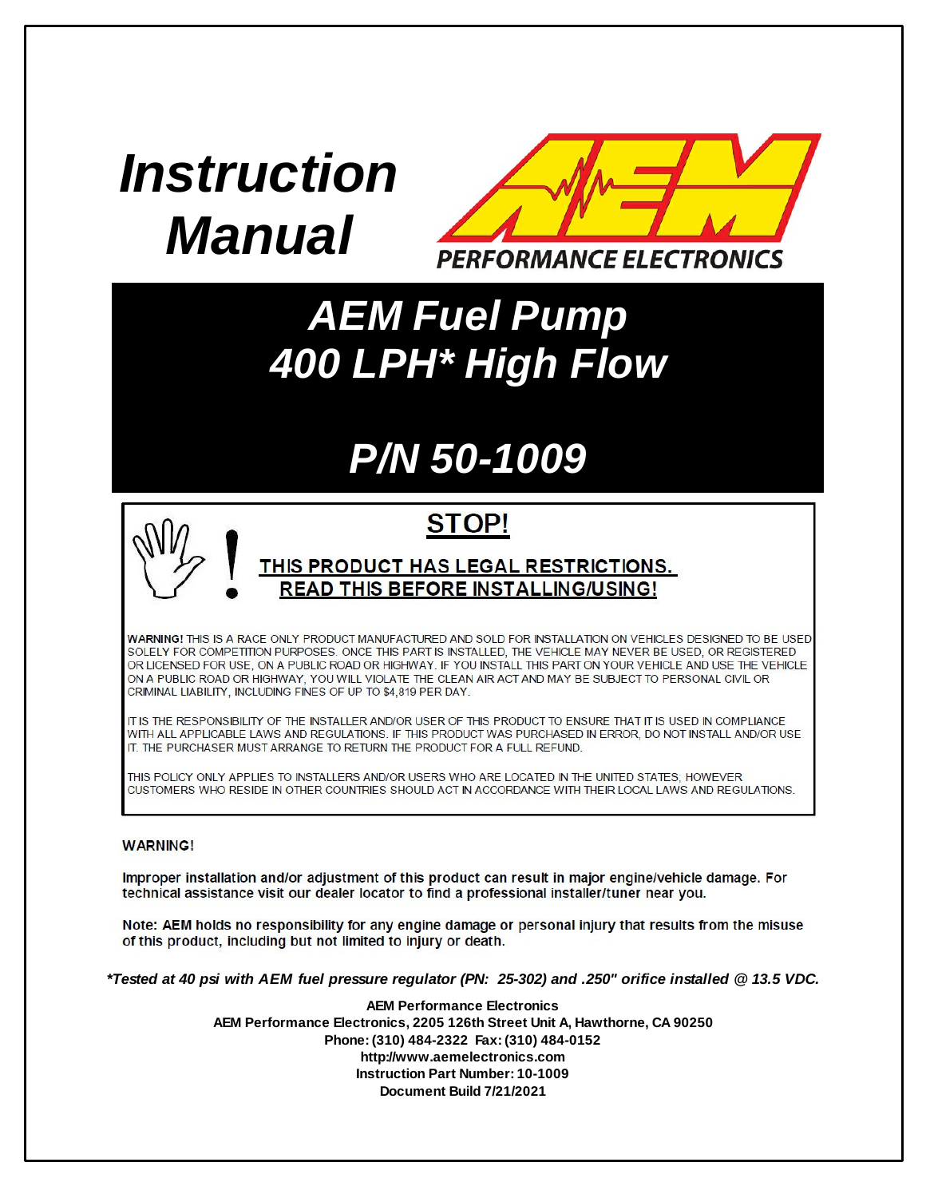# *Instruction Manual*



### *AEM Fuel Pump 400 LPH\* High Flow*

## *P/N 50-1009*

### **STOP!**

#### <u>THIS PRODUCT HAS LEGAL RESTRICTIONS.</u> **READ THIS BEFORE INSTALLING/USING!**

WARNING! THIS IS A RACE ONLY PRODUCT MANUFACTURED AND SOLD FOR INSTALLATION ON VEHICLES DESIGNED TO BE USED SOLELY FOR COMPETITION PURPOSES. ONCE THIS PART IS INSTALLED, THE VEHICLE MAY NEVER BE USED, OR REGISTERED OR LICENSED FOR USE, ON A PUBLIC ROAD OR HIGHWAY. IF YOU INSTALL THIS PART ON YOUR VEHICLE AND USE THE VEHICLE ON A PUBLIC ROAD OR HIGHWAY, YOU WILL VIOLATE THE CLEAN AIR ACT AND MAY BE SUBJECT TO PERSONAL CIVIL OR CRIMINAL LIABILITY, INCLUDING FINES OF UP TO \$4,819 PER DAY.

IT IS THE RESPONSIBILITY OF THE INSTALLER AND/OR USER OF THIS PRODUCT TO ENSURE THAT IT IS USED IN COMPLIANCE WITH ALL APPLICABLE LAWS AND REGULATIONS. IF THIS PRODUCT WAS PURCHASED IN ERROR, DO NOT INSTALL AND/OR USE IT. THE PURCHASER MUST ARRANGE TO RETURN THE PRODUCT FOR A FULL REFUND.

THIS POLICY ONLY APPLIES TO INSTALLERS AND/OR USERS WHO ARE LOCATED IN THE UNITED STATES: HOWEVER CUSTOMERS WHO RESIDE IN OTHER COUNTRIES SHOULD ACT IN ACCORDANCE WITH THEIR LOCAL LAWS AND REGULATIONS.

#### **WARNING!**

Improper installation and/or adjustment of this product can result in major engine/vehicle damage. For technical assistance visit our dealer locator to find a professional installer/tuner near you.

Note: AEM holds no responsibility for any engine damage or personal injury that results from the misuse of this product, including but not limited to injury or death.

\*Tested at 40 psi with AEM fuel pressure regulator (PN: 25-302) and .250" orifice installed @ 13.5 VDC.

**AEM Performance Electronics AEM Performance Electronics, 2205 126th Street Unit A, Hawthorne, CA 90250 Phone: (310) 484-2322 Fax: (310) 484-0152 http://www.aemelectronics.com Instruction Part Number: 10-1009 Document Build 7/21/2021**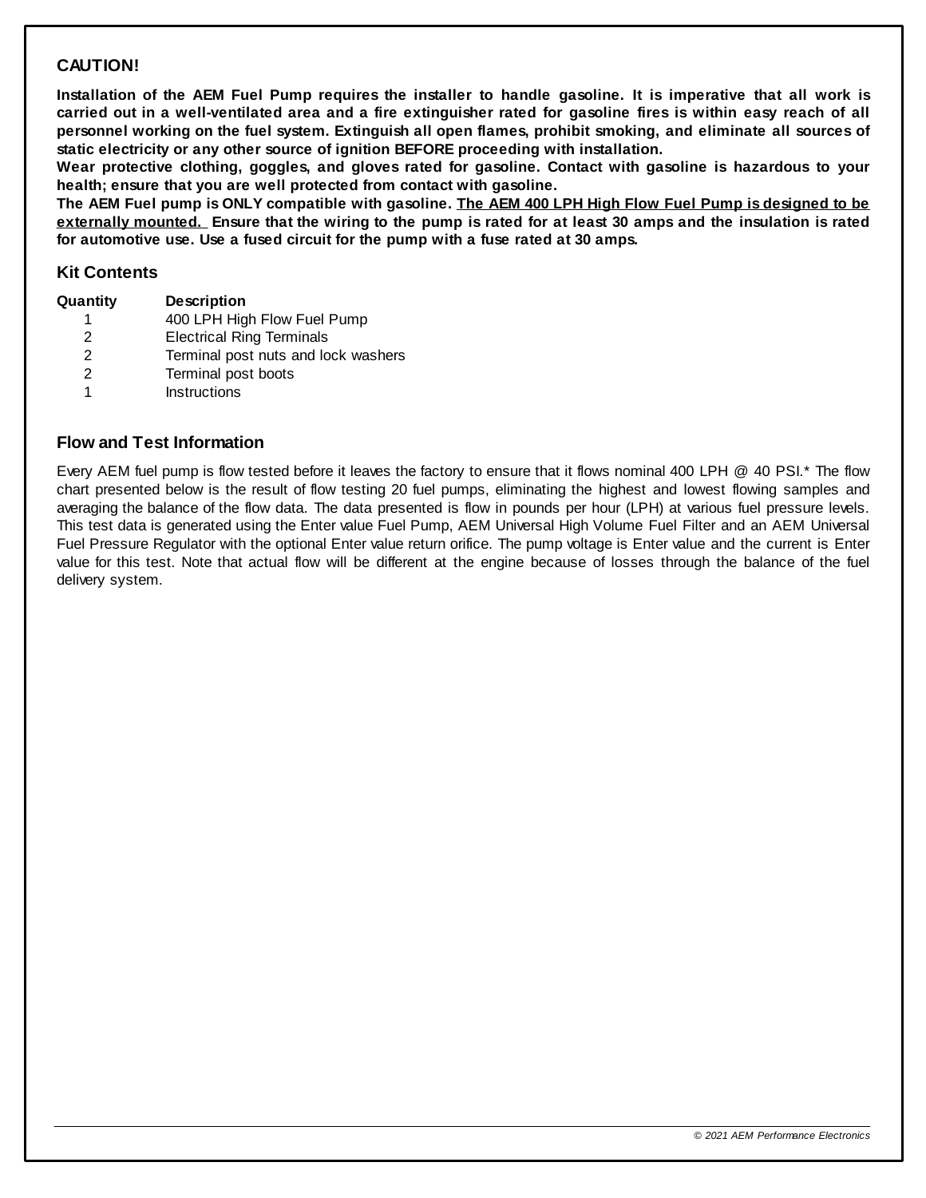#### **CAUTION!**

Installation of the AEM Fuel Pump requires the installer to handle gasoline. It is imperative that all work is carried out in a well-ventilated area and a fire extinguisher rated for gasoline fires is within easy reach of all personnel working on the fuel system. Extinguish all open flames, prohibit smoking, and eliminate all sources of **static electricity or any other source of ignition BEFORE proceeding with installation.**

**Wear protective clothing, goggles, and gloves rated for gasoline. Contact with gasoline is hazardous to your health; ensure that you are well protected from contact with gasoline.**

The AEM Fuel pump is ONLY compatible with gasoline. The AEM 400 LPH High Flow Fuel Pump is designed to be externally mounted. Ensure that the wiring to the pump is rated for at least 30 amps and the insulation is rated **for automotive use. Use a fused circuit for the pump with a fuse rated at 30 amps.**

#### **Kit Contents**

| Quantity | <b>Description</b>                  |
|----------|-------------------------------------|
|          | 400 LPH High Flow Fuel Pump         |
| 2        | <b>Electrical Ring Terminals</b>    |
| 2        | Terminal post nuts and lock washers |
| 2        | Terminal post boots                 |
| 1        | <b>Instructions</b>                 |

#### **Flow and Test Information**

Every AEM fuel pump is flow tested before it leaves the factory to ensure that it flows nominal 400 LPH @ 40 PSI.\* The flow chart presented below is the result of flow testing 20 fuel pumps, eliminating the highest and lowest flowing samples and averaging the balance of the flow data. The data presented is flow in pounds per hour (LPH) at various fuel pressure levels. This test data is generated using the Enter value Fuel Pump, AEM Universal High Volume Fuel Filter and an AEM Universal Fuel Pressure Regulator with the optional Enter value return orifice. The pump voltage is Enter value and the current is Enter value for this test. Note that actual flow will be different at the engine because of losses through the balance of the fuel delivery system.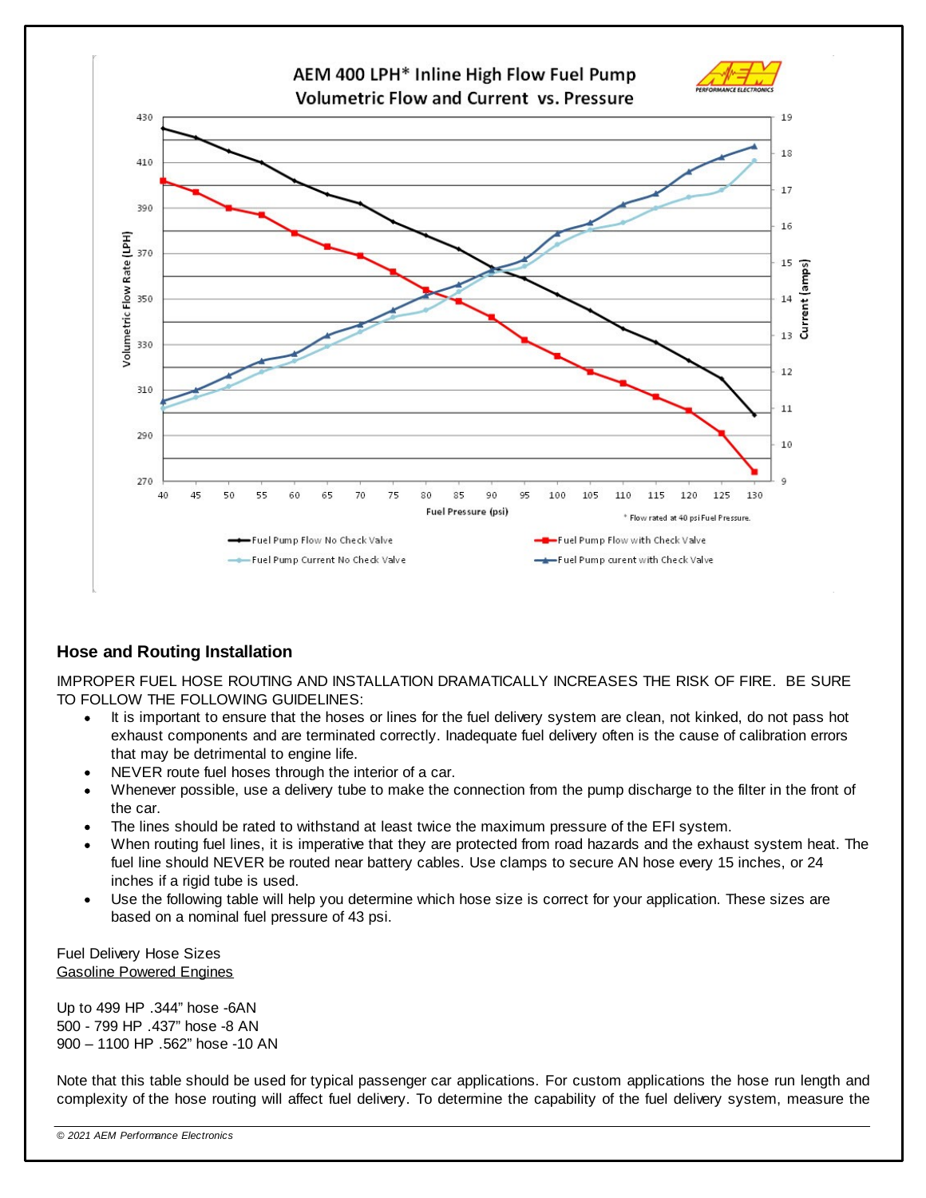

#### **Hose and Routing Installation**

IMPROPER FUEL HOSE ROUTING AND INSTALLATION DRAMATICALLY INCREASES THE RISK OF FIRE. BE SURE TO FOLLOW THE FOLLOWING GUIDELINES:

- · It is important to ensure that the hoses or lines for the fuel delivery system are clean, not kinked, do not pass hot exhaust components and are terminated correctly. Inadequate fuel delivery often is the cause of calibration errors that may be detrimental to engine life.
- ·NEVER route fuel hoses through the interior of a car.
- · Whenever possible, use a delivery tube to make the connection from the pump discharge to the filter in the front of the car.
- ·The lines should be rated to withstand at least twice the maximum pressure of the EFI system.
- ·When routing fuel lines, it is imperative that they are protected from road hazards and the exhaust system heat. The fuel line should NEVER be routed near battery cables. Use clamps to secure AN hose every 15 inches, or 24 inches if a rigid tube is used.
- · Use the following table will help you determine which hose size is correct for your application. These sizes are based on a nominal fuel pressure of 43 psi.

Fuel Delivery Hose Sizes Gasoline Powered Engines

Up to 499 HP .344" hose -6AN 500 - 799 HP .437" hose -8 AN 900 – 1100 HP .562" hose -10 AN

Note that this table should be used for typical passenger car applications. For custom applications the hose run length and complexity of the hose routing will affect fuel delivery. To determine the capability of the fuel delivery system, measure the